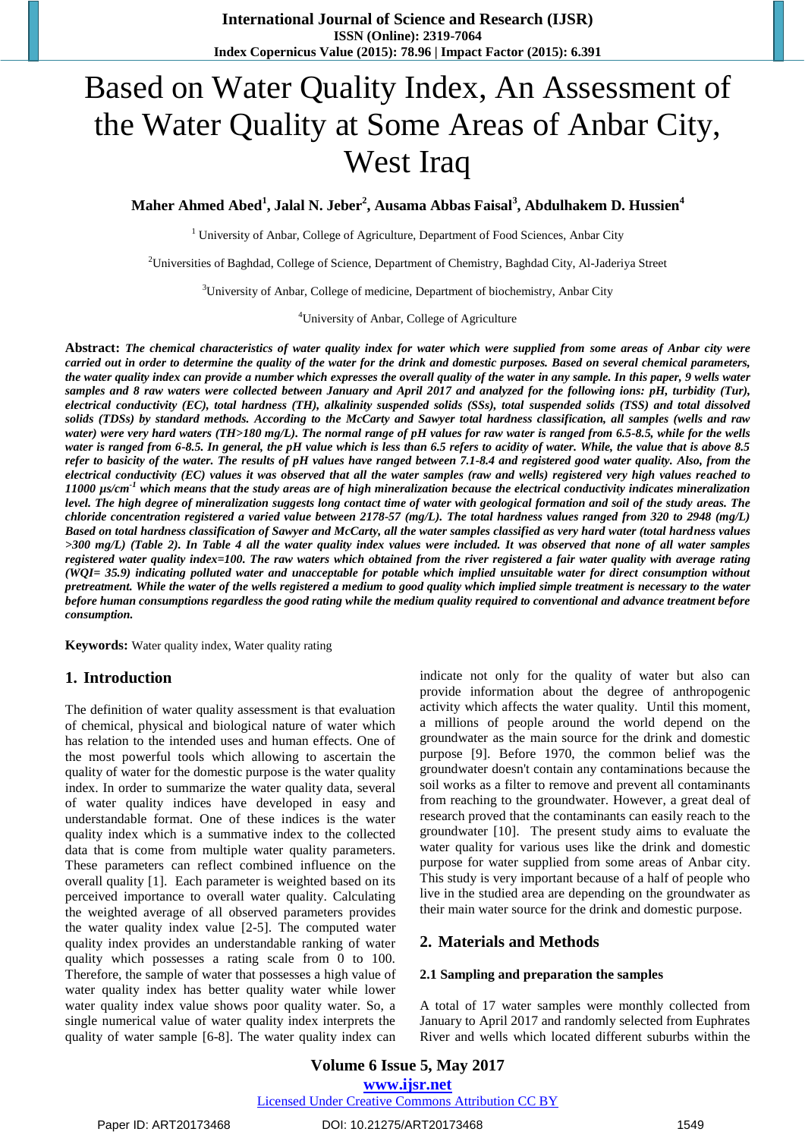# Based on Water Quality Index, An Assessment of the Water Quality at Some Areas of Anbar City, West Iraq

**Maher Ahmed Abed<sup>1</sup> , Jalal N. Jeber<sup>2</sup> , Ausama Abbas Faisal<sup>3</sup> , Abdulhakem D. Hussien<sup>4</sup>**

 $1$  University of Anbar, College of Agriculture, Department of Food Sciences, Anbar City

<sup>2</sup>Universities of Baghdad, College of Science, Department of Chemistry, Baghdad City, Al-Jaderiya Street

 $3$ University of Anbar, College of medicine, Department of biochemistry, Anbar City

<sup>4</sup>University of Anbar, College of Agriculture

**Abstract:** *The chemical characteristics of water quality index for water which were supplied from some areas of Anbar city were carried out in order to determine the quality of the water for the drink and domestic purposes. Based on several chemical parameters, the water quality index can provide a number which expresses the overall quality of the water in any sample. In this paper, 9 wells water samples and 8 raw waters were collected between January and April 2017 and analyzed for the following ions: pH, turbidity (Tur), electrical conductivity (EC), total hardness (TH), alkalinity suspended solids (SSs), total suspended solids (TSS) and total dissolved solids (TDSs) by standard methods. According to the McCarty and Sawyer total hardness classification, all samples (wells and raw water) were very hard waters (TH>180 mg/L). The normal range of pH values for raw water is ranged from 6.5-8.5, while for the wells water is ranged from 6-8.5. In general, the pH value which is less than 6.5 refers to acidity of water. While, the value that is above 8.5 refer to basicity of the water. The results of pH values have ranged between 7.1-8.4 and registered good water quality. Also, from the electrical conductivity (EC) values it was observed that all the water samples (raw and wells) registered very high values reached to 11000 µs/cm -1 which means that the study areas are of high mineralization because the electrical conductivity indicates mineralization level. The high degree of mineralization suggests long contact time of water with geological formation and soil of the study areas. The chloride concentration registered a varied value between 2178-57 (mg/L). The total hardness values ranged from 320 to 2948 (mg/L) Based on total hardness classification of Sawyer and McCarty, all the water samples classified as very hard water (total hardness values >300 mg/L) (Table 2). In Table 4 all the water quality index values were included. It was observed that none of all water samples registered water quality index=100. The raw waters which obtained from the river registered a fair water quality with average rating (WQI= 35.9) indicating polluted water and unacceptable for potable which implied unsuitable water for direct consumption without pretreatment. While the water of the wells registered a medium to good quality which implied simple treatment is necessary to the water before human consumptions regardless the good rating while the medium quality required to conventional and advance treatment before consumption.*

**Keywords:** Water quality index, Water quality rating

### **1. Introduction**

The definition of water quality assessment is that evaluation of chemical, physical and biological nature of water which has relation to the intended uses and human effects. One of the most powerful tools which allowing to ascertain the quality of water for the domestic purpose is the water quality index. In order to summarize the water quality data, several of water quality indices have developed in easy and understandable format. One of these indices is the water quality index which is a summative index to the collected data that is come from multiple water quality parameters. These parameters can reflect combined influence on the overall quality [\[1\]](#page-3-0). Each parameter is weighted based on its perceived importance to overall water quality. Calculating the weighted average of all observed parameters provides the water quality index value [\[2-5\]](#page-3-1). The computed water quality index provides an understandable ranking of water quality which possesses a rating scale from 0 to 100. Therefore, the sample of water that possesses a high value of water quality index has better quality water while lower water quality index value shows poor quality water. So, a single numerical value of water quality index interprets the quality of water sample [\[6-8\]](#page-3-2). The water quality index can indicate not only for the quality of water but also can provide information about the degree of anthropogenic activity which affects the water quality. Until this moment, a millions of people around the world depend on the groundwater as the main source for the drink and domestic purpose [\[9\]](#page-3-3). Before 1970, the common belief was the groundwater doesn't contain any contaminations because the soil works as a filter to remove and prevent all contaminants from reaching to the groundwater. However, a great deal of research proved that the contaminants can easily reach to the groundwater [\[10\]](#page-3-4). The present study aims to evaluate the water quality for various uses like the drink and domestic purpose for water supplied from some areas of Anbar city. This study is very important because of a half of people who live in the studied area are depending on the groundwater as their main water source for the drink and domestic purpose.

### **2. Materials and Methods**

#### **2.1 Sampling and preparation the samples**

A total of 17 water samples were monthly collected from January to April 2017 and randomly selected from Euphrates River and wells which located different suburbs within the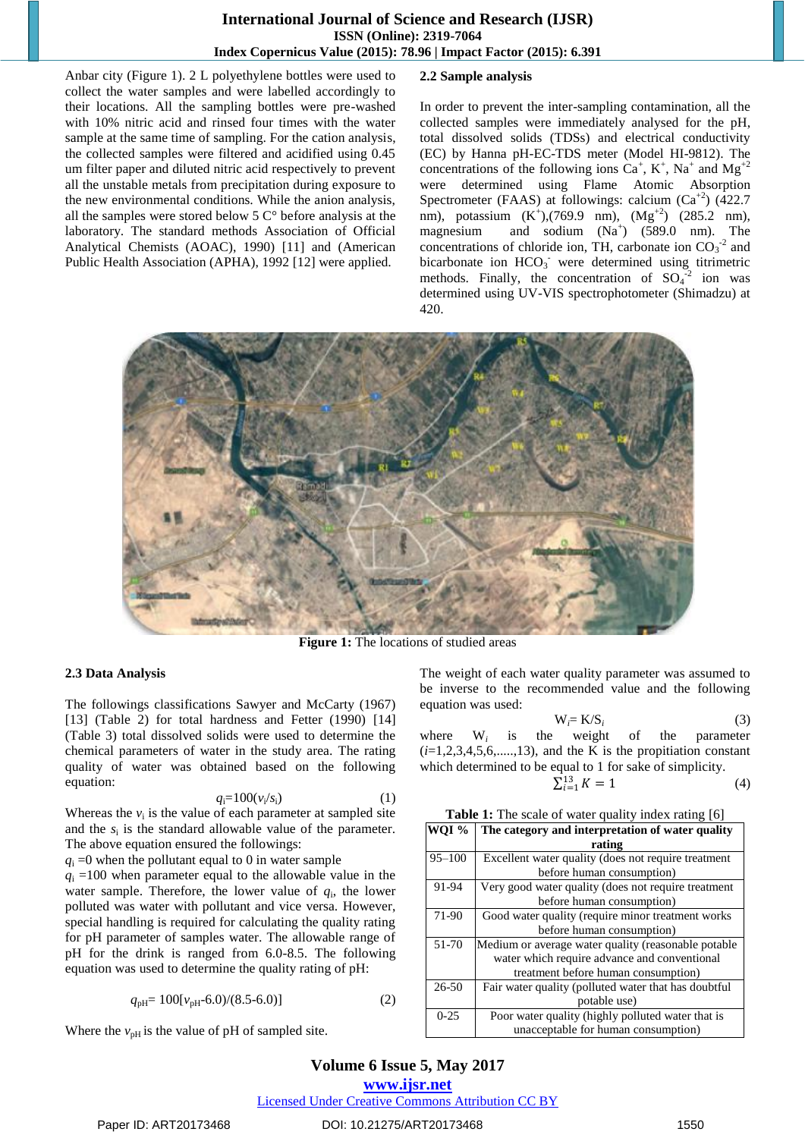### **International Journal of Science and Research (IJSR) ISSN (Online): 2319-7064 Index Copernicus Value (2015): 78.96 | Impact Factor (2015): 6.391**

Anbar city (Figure 1). 2 L polyethylene bottles were used to collect the water samples and were labelled accordingly to their locations. All the sampling bottles were pre-washed with 10% nitric acid and rinsed four times with the water sample at the same time of sampling. For the cation analysis, the collected samples were filtered and acidified using 0.45 um filter paper and diluted nitric acid respectively to prevent all the unstable metals from precipitation during exposure to the new environmental conditions. While the anion analysis, all the samples were stored below 5 C° before analysis at the laboratory. The standard methods Association of Official Analytical Chemists (AOAC), 1990) [\[11\]](#page-3-5) and (American Public Health Association (APHA), 1992 [\[12\]](#page-3-6) were applied.

### **2.2 Sample analysis**

In order to prevent the inter-sampling contamination, all the collected samples were immediately analysed for the pH, total dissolved solids (TDSs) and electrical conductivity (EC) by Hanna pH-EC-TDS meter (Model HI-9812). The concentrations of the following ions  $Ca^+$ ,  $K^+$ , Na<sup>+</sup> and Mg<sup>+2</sup> were determined using Flame Atomic Absorption Spectrometer (FAAS) at followings: calcium  $(Ca^{2})$  (422.7) nm), potassium  $(K^+)$ ,(769.9 nm),  $(Mg^{+2})$  (285.2 nm), magnesium and sodium  $(Na^+)$   $(589.0 \text{ nm})$ . The concentrations of chloride ion, TH, carbonate ion  $CO_3^{-2}$  and bicarbonate ion  $HCO_3^-$  were determined using titrimetric methods. Finally, the concentration of  $SO_4^{\{2\}}$  ion was determined using UV-VIS spectrophotometer (Shimadzu) at 420.



**Figure 1:** The locations of studied areas

### **2.3 Data Analysis**

The followings classifications Sawyer and McCarty (1967) [\[13\]](#page-3-7) (Table 2) for total hardness and Fetter (1990) [\[14\]](#page-3-8) (Table 3) total dissolved solids were used to determine the chemical parameters of water in the study area. The rating quality of water was obtained based on the following equation:

$$
q_i = 100(v_i/s_i) \tag{1}
$$

Whereas the  $v_i$  is the value of each parameter at sampled site and the  $s_i$  is the standard allowable value of the parameter. The above equation ensured the followings:

 $q_i = 0$  when the pollutant equal to 0 in water sample

 $q_i = 100$  when parameter equal to the allowable value in the water sample. Therefore, the lower value of  $q_i$ , the lower polluted was water with pollutant and vice versa. However, special handling is required for calculating the quality rating for pH parameter of samples water. The allowable range of pH for the drink is ranged from 6.0-8.5. The following equation was used to determine the quality rating of pH:

$$
q_{\rm pH} = 100[v_{\rm pH} - 6.0)/(8.5 - 6.0)]\tag{2}
$$

Where the  $v_{pH}$  is the value of pH of sampled site.

The weight of each water quality parameter was assumed to be inverse to the recommended value and the following equation was used:

$$
W_i = K/S_i \tag{3}
$$

where W*<sup>i</sup>* is the weight of the parameter  $(i=1,2,3,4,5,6,......,13)$ , and the K is the propitiation constant which determined to be equal to 1 for sake of simplicity. Σ

$$
r_{i=1}^{13} K = 1 \tag{4}
$$

| <b>Table 1:</b> The scale of water quality index rating [6] |  |
|-------------------------------------------------------------|--|
|-------------------------------------------------------------|--|

| WOI <sup>%</sup> | The category and interpretation of water quality     |  |  |  |  |  |  |  |  |  |
|------------------|------------------------------------------------------|--|--|--|--|--|--|--|--|--|
|                  | rating                                               |  |  |  |  |  |  |  |  |  |
| $95 - 100$       | Excellent water quality (does not require treatment  |  |  |  |  |  |  |  |  |  |
|                  | before human consumption)                            |  |  |  |  |  |  |  |  |  |
| 91-94            | Very good water quality (does not require treatment  |  |  |  |  |  |  |  |  |  |
|                  | before human consumption)                            |  |  |  |  |  |  |  |  |  |
| 71-90            | Good water quality (require minor treatment works    |  |  |  |  |  |  |  |  |  |
|                  | before human consumption)                            |  |  |  |  |  |  |  |  |  |
| 51-70            | Medium or average water quality (reasonable potable  |  |  |  |  |  |  |  |  |  |
|                  | water which require advance and conventional         |  |  |  |  |  |  |  |  |  |
|                  | treatment before human consumption)                  |  |  |  |  |  |  |  |  |  |
| $26 - 50$        | Fair water quality (polluted water that has doubtful |  |  |  |  |  |  |  |  |  |
|                  | potable use)                                         |  |  |  |  |  |  |  |  |  |
| $0-25$           | Poor water quality (highly polluted water that is    |  |  |  |  |  |  |  |  |  |
|                  | unacceptable for human consumption)                  |  |  |  |  |  |  |  |  |  |

# **Volume 6 Issue 5, May 2017**

**www.ijsr.net** Licensed Under Creative Commons Attribution CC BY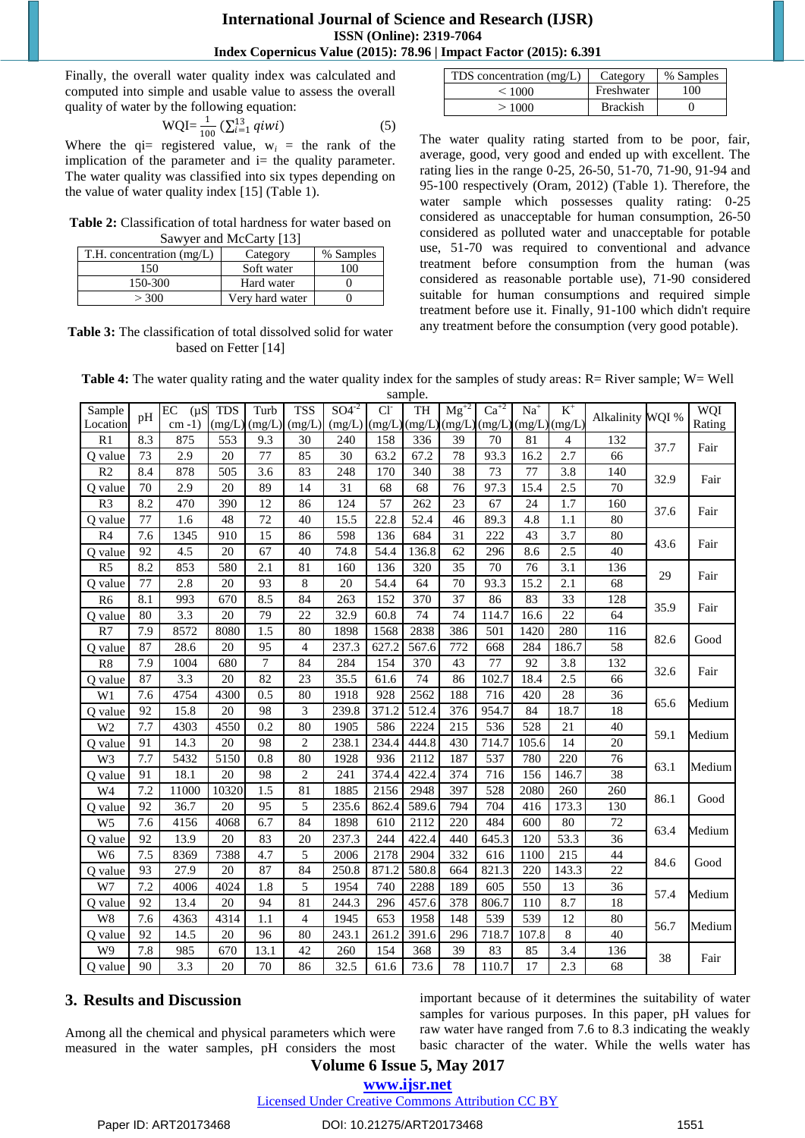### **International Journal of Science and Research (IJSR) ISSN (Online): 2319-7064 Index Copernicus Value (2015): 78.96 | Impact Factor (2015): 6.391**

Finally, the overall water quality index was calculated and computed into simple and usable value to assess the overall quality of water by the following equation:

$$
WQI = \frac{1}{100} \left( \sum_{i=1}^{13} q_i w_i \right) \tag{5}
$$

Where the  $q_i$  = registered value,  $w_i$  = the rank of the implication of the parameter and  $i$  = the quality parameter. The water quality was classified into six types depending on the value of water quality index [\[15\]](#page-3-9) (Table 1).

**Table 2:** Classification of total hardness for water based on Sawyer and McCarty [\[13\]](#page-3-7)

| $T.H.$ concentration $(mg/L)$ | Category        | % Samples      |
|-------------------------------|-----------------|----------------|
| -50                           | Soft water      | 0 <sup>0</sup> |
| 150-300                       | Hard water      |                |
| > 300                         | Very hard water |                |

**Table 3:** The classification of total dissolved solid for water based on Fetter [\[14\]](#page-3-8)

| TDS concentration (mg/L) | Category        | % Samples |
|--------------------------|-----------------|-----------|
| < 1000                   | Freshwater      | 00        |
| >1000                    | <b>Brackish</b> |           |

The water quality rating started from to be poor, fair, average, good, very good and ended up with excellent. The rating lies in the range 0-25, 26-50, 51-70, 71-90, 91-94 and 95-100 respectively (Oram, 2012) (Table 1). Therefore, the water sample which possesses quality rating: 0-25 considered as unacceptable for human consumption, 26-50 considered as polluted water and unacceptable for potable use, 51-70 was required to conventional and advance treatment before consumption from the human (was considered as reasonable portable use), 71-90 considered suitable for human consumptions and required simple treatment before use it. Finally, 91-100 which didn't require any treatment before the consumption (very good potable).

**Table 4:** The water quality rating and the water quality index for the samples of study areas: R= River sample; W= Well sample.

| Sample         |     | EC<br>$(\mu S)$ | <b>TDS</b> | Turb   | <b>TSS</b>     | $SO4^{-2}$ | Cl <sup>2</sup> | защие.<br>TH | $Mg^{+2}$ | $Ca^{+2}$    | $Na+$  | $K^+$  |                  |      | WQI    |
|----------------|-----|-----------------|------------|--------|----------------|------------|-----------------|--------------|-----------|--------------|--------|--------|------------------|------|--------|
| Location       | pH  | $cm-1$ )        | (mg/L)     | (mg/L) | (mg/L)         | (mg/L)     | (mg/L)          | (mg/L)       |           | (mg/L)(mg/L) | (mg/L) | (mg/L) | Alkalinity WQI % |      | Rating |
| R1             | 8.3 | 875             | 553        | 9.3    | 30             | 240        | 158             | 336          | 39        | 70           | 81     | 4      | 132              |      | Fair   |
| O value        | 73  | 2.9             | 20         | 77     | 85             | 30         | 63.2            | 67.2         | 78        | 93.3         | 16.2   | 2.7    | 66               | 37.7 |        |
| R <sub>2</sub> | 8.4 | 878             | 505        | 3.6    | 83             | 248        | 170             | 340          | 38        | 73           | 77     | 3.8    | 140              | 32.9 | Fair   |
| O value        | 70  | 2.9             | 20         | 89     | 14             | 31         | 68              | 68           | 76        | 97.3         | 15.4   | 2.5    | 70               |      |        |
| R <sub>3</sub> | 8.2 | 470             | 390        | 12     | 86             | 124        | 57              | 262          | 23        | 67           | 24     | 1.7    | 160              |      |        |
| Q value        | 77  | 1.6             | 48         | 72     | 40             | 15.5       | 22.8            | 52.4         | 46        | 89.3         | 4.8    | 1.1    | 80               | 37.6 | Fair   |
| R <sub>4</sub> | 7.6 | 1345            | 910        | 15     | 86             | 598        | 136             | 684          | 31        | 222          | 43     | 3.7    | 80               | 43.6 |        |
| O value        | 92  | 4.5             | 20         | 67     | 40             | 74.8       | 54.4            | 136.8        | 62        | 296          | 8.6    | 2.5    | 40               |      | Fair   |
| R <sub>5</sub> | 8.2 | 853             | 580        | 2.1    | 81             | 160        | 136             | 320          | 35        | 70           | 76     | 3.1    | 136              | 29   | Fair   |
| O value        | 77  | 2.8             | 20         | 93     | 8              | 20         | 54.4            | 64           | 70        | 93.3         | 15.2   | 2.1    | 68               |      |        |
| R <sub>6</sub> | 8.1 | 993             | 670        | 8.5    | 84             | 263        | 152             | 370          | 37        | 86           | 83     | 33     | 128              | 35.9 | Fair   |
| O value        | 80  | 3.3             | 20         | 79     | 22             | 32.9       | 60.8            | 74           | 74        | 114.7        | 16.6   | 22     | 64               |      |        |
| R7             | 7.9 | 8572            | 8080       | 1.5    | 80             | 1898       | 1568            | 2838         | 386       | 501          | 1420   | 280    | 116              | 82.6 | Good   |
| Q value        | 87  | 28.6            | 20         | 95     | $\overline{4}$ | 237.3      | 627.2           | 567.6        | 772       | 668          | 284    | 186.7  | 58               |      |        |
| R8             | 7.9 | 1004            | 680        | 7      | 84             | 284        | 154             | 370          | 43        | 77           | 92     | 3.8    | 132              |      | Fair   |
| Q value        | 87  | 3.3             | 20         | 82     | 23             | 35.5       | 61.6            | 74           | 86        | 102.7        | 18.4   | 2.5    | 66               | 32.6 |        |
| W1             | 7.6 | 4754            | 4300       | 0.5    | 80             | 1918       | 928             | 2562         | 188       | 716          | 420    | 28     | 36               | 65.6 | Medium |
| Q value        | 92  | 15.8            | 20         | 98     | 3              | 239.8      | 371.2           | 512.4        | 376       | 954.7        | 84     | 18.7   | 18               |      |        |
| W <sub>2</sub> | 7.7 | 4303            | 4550       | 0.2    | 80             | 1905       | 586             | 2224         | 215       | 536          | 528    | 21     | 40               | 59.1 | Medium |
| Q value        | 91  | 14.3            | 20         | 98     | $\overline{2}$ | 238.1      | 234.4           | 444.8        | 430       | 714.7        | 105.6  | 14     | 20               |      |        |
| W3             | 7.7 | 5432            | 5150       | 0.8    | 80             | 1928       | 936             | 2112         | 187       | 537          | 780    | 220    | 76               | 63.1 | Medium |
| Q value        | 91  | 18.1            | 20         | 98     | $\overline{c}$ | 241        | 374.4           | 422.4        | 374       | 716          | 156    | 146.7  | 38               |      |        |
| W <sub>4</sub> | 7.2 | 11000           | 10320      | 1.5    | 81             | 1885       | 2156            | 2948         | 397       | 528          | 2080   | 260    | 260              | 86.1 | Good   |
| Q value        | 92  | 36.7            | 20         | 95     | 5              | 235.6      | 862.4           | 589.6        | 794       | 704          | 416    | 173.3  | 130              |      |        |
| W <sub>5</sub> | 7.6 | 4156            | 4068       | 6.7    | 84             | 1898       | 610             | 2112         | 220       | 484          | 600    | 80     | 72               | 63.4 | Medium |
| Q value        | 92  | 13.9            | 20         | 83     | 20             | 237.3      | 244             | 422.4        | 440       | 645.3        | 120    | 53.3   | 36               |      |        |
| W <sub>6</sub> | 7.5 | 8369            | 7388       | 4.7    | 5              | 2006       | 2178            | 2904         | 332       | 616          | 1100   | 215    | 44               | 84.6 | Good   |
| O value        | 93  | 27.9            | 20         | 87     | 84             | 250.8      | 871.2           | 580.8        | 664       | 821.3        | 220    | 143.3  | 22               |      |        |
| W7             | 7.2 | 4006            | 4024       | 1.8    | 5              | 1954       | 740             | 2288         | 189       | 605          | 550    | 13     | 36               | 57.4 | Medium |
| Q value        | 92  | 13.4            | 20         | 94     | 81             | 244.3      | 296             | 457.6        | 378       | 806.7        | 110    | 8.7    | 18               |      |        |
| W8             | 7.6 | 4363            | 4314       | 1.1    | 4              | 1945       | 653             | 1958         | 148       | 539          | 539    | 12     | 80               | 56.7 | Medium |
| Q value        | 92  | 14.5            | 20         | 96     | 80             | 243.1      | 261.2           | 391.6        | 296       | 718.7        | 107.8  | 8      | 40               |      |        |
| W <sub>9</sub> | 7.8 | 985             | 670        | 13.1   | 42             | 260        | 154             | 368          | 39        | 83           | 85     | 3.4    | 136              | 38   | Fair   |
| O value        | 90  | 3.3             | 20         | 70     | 86             | 32.5       | 61.6            | 73.6         | 78        | 110.7        | 17     | 2.3    | 68               |      |        |

### **3. Results and Discussion**

Among all the chemical and physical parameters which were measured in the water samples, pH considers the most important because of it determines the suitability of water samples for various purposes. In this paper, pH values for raw water have ranged from 7.6 to 8.3 indicating the weakly basic character of the water. While the wells water has

# **Volume 6 Issue 5, May 2017**

**www.ijsr.net**

Licensed Under Creative Commons Attribution CC BY